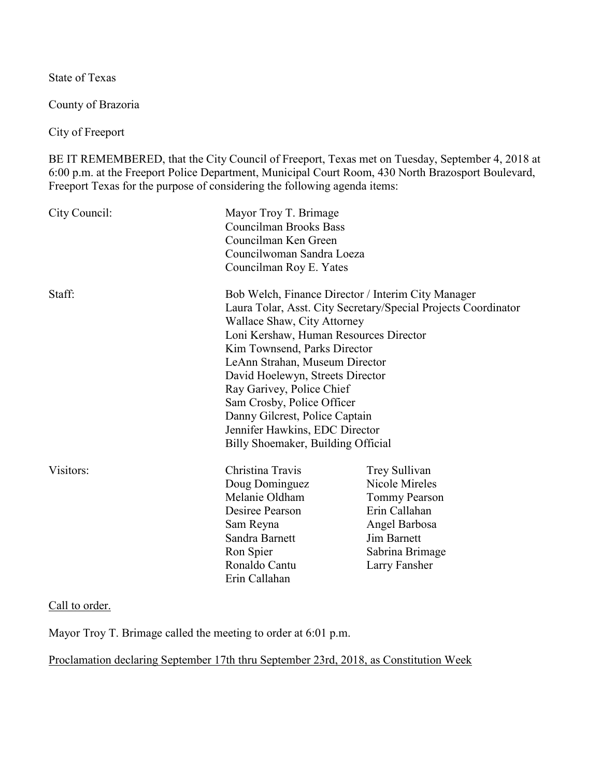State of Texas

County of Brazoria

City of Freeport

BE IT REMEMBERED, that the City Council of Freeport, Texas met on Tuesday, September 4, 2018 at 6:00 p.m. at the Freeport Police Department, Municipal Court Room, 430 North Brazosport Boulevard, Freeport Texas for the purpose of considering the following agenda items:

| City Council: | Mayor Troy T. Brimage<br><b>Councilman Brooks Bass</b><br>Councilman Ken Green<br>Councilwoman Sandra Loeza<br>Councilman Roy E. Yates                                                                                                                                                                                                                                                                                                                                   |                                                                                                                                                     |
|---------------|--------------------------------------------------------------------------------------------------------------------------------------------------------------------------------------------------------------------------------------------------------------------------------------------------------------------------------------------------------------------------------------------------------------------------------------------------------------------------|-----------------------------------------------------------------------------------------------------------------------------------------------------|
| Staff:        | Bob Welch, Finance Director / Interim City Manager<br>Laura Tolar, Asst. City Secretary/Special Projects Coordinator<br>Wallace Shaw, City Attorney<br>Loni Kershaw, Human Resources Director<br>Kim Townsend, Parks Director<br>LeAnn Strahan, Museum Director<br>David Hoelewyn, Streets Director<br>Ray Garivey, Police Chief<br>Sam Crosby, Police Officer<br>Danny Gilcrest, Police Captain<br>Jennifer Hawkins, EDC Director<br>Billy Shoemaker, Building Official |                                                                                                                                                     |
| Visitors:     | Christina Travis<br>Doug Dominguez<br>Melanie Oldham<br>Desiree Pearson<br>Sam Reyna<br>Sandra Barnett<br>Ron Spier<br>Ronaldo Cantu<br>Erin Callahan                                                                                                                                                                                                                                                                                                                    | Trey Sullivan<br>Nicole Mireles<br><b>Tommy Pearson</b><br>Erin Callahan<br>Angel Barbosa<br><b>Jim Barnett</b><br>Sabrina Brimage<br>Larry Fansher |

Call to order.

Mayor Troy T. Brimage called the meeting to order at 6:01 p.m.

Proclamation declaring September 17th thru September 23rd, 2018, as Constitution Week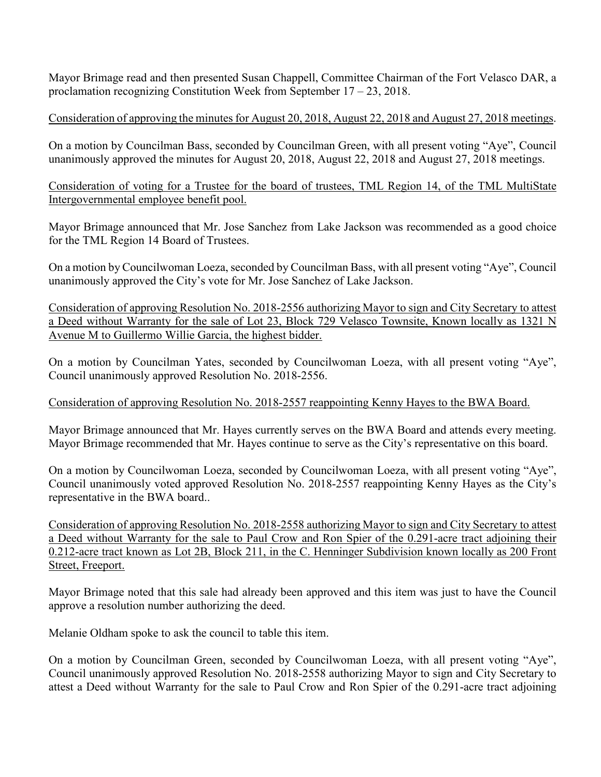Mayor Brimage read and then presented Susan Chappell, Committee Chairman of the Fort Velasco DAR, a proclamation recognizing Constitution Week from September 17 – 23, 2018.

## Consideration of approving the minutes for August 20, 2018, August 22, 2018 and August 27, 2018 meetings.

On a motion by Councilman Bass, seconded by Councilman Green, with all present voting "Aye", Council unanimously approved the minutes for August 20, 2018, August 22, 2018 and August 27, 2018 meetings.

Consideration of voting for a Trustee for the board of trustees, TML Region 14, of the TML MultiState Intergovernmental employee benefit pool.

Mayor Brimage announced that Mr. Jose Sanchez from Lake Jackson was recommended as a good choice for the TML Region 14 Board of Trustees.

On a motion by Councilwoman Loeza, seconded by Councilman Bass, with all present voting "Aye", Council unanimously approved the City's vote for Mr. Jose Sanchez of Lake Jackson.

Consideration of approving Resolution No. 2018-2556 authorizing Mayor to sign and City Secretary to attest a Deed without Warranty for the sale of Lot 23, Block 729 Velasco Townsite, Known locally as 1321 N Avenue M to Guillermo Willie Garcia, the highest bidder.

On a motion by Councilman Yates, seconded by Councilwoman Loeza, with all present voting "Aye", Council unanimously approved Resolution No. 2018-2556.

## Consideration of approving Resolution No. 2018-2557 reappointing Kenny Hayes to the BWA Board.

Mayor Brimage announced that Mr. Hayes currently serves on the BWA Board and attends every meeting. Mayor Brimage recommended that Mr. Hayes continue to serve as the City's representative on this board.

On a motion by Councilwoman Loeza, seconded by Councilwoman Loeza, with all present voting "Aye", Council unanimously voted approved Resolution No. 2018-2557 reappointing Kenny Hayes as the City's representative in the BWA board..

Consideration of approving Resolution No. 2018-2558 authorizing Mayor to sign and City Secretary to attest a Deed without Warranty for the sale to Paul Crow and Ron Spier of the 0.291-acre tract adjoining their 0.212-acre tract known as Lot 2B, Block 211, in the C. Henninger Subdivision known locally as 200 Front Street, Freeport.

Mayor Brimage noted that this sale had already been approved and this item was just to have the Council approve a resolution number authorizing the deed.

Melanie Oldham spoke to ask the council to table this item.

On a motion by Councilman Green, seconded by Councilwoman Loeza, with all present voting "Aye", Council unanimously approved Resolution No. 2018-2558 authorizing Mayor to sign and City Secretary to attest a Deed without Warranty for the sale to Paul Crow and Ron Spier of the 0.291-acre tract adjoining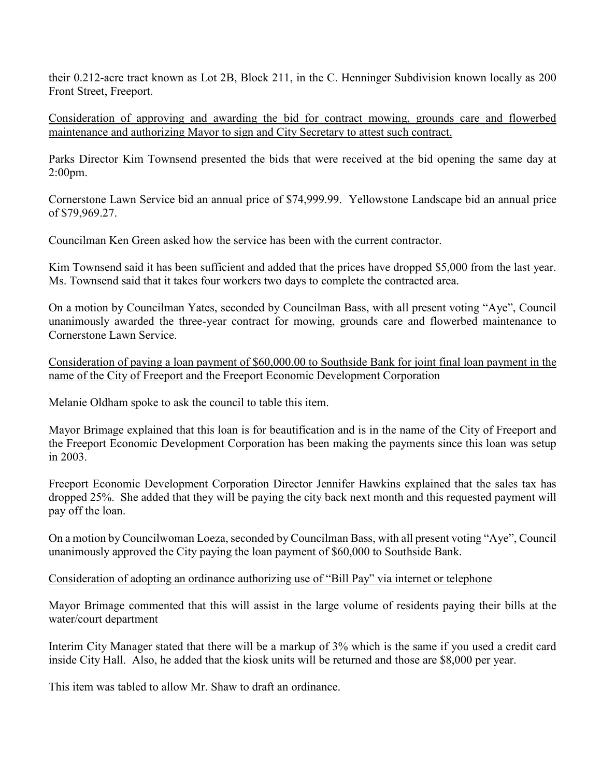their 0.212-acre tract known as Lot 2B, Block 211, in the C. Henninger Subdivision known locally as 200 Front Street, Freeport.

Consideration of approving and awarding the bid for contract mowing, grounds care and flowerbed maintenance and authorizing Mayor to sign and City Secretary to attest such contract.

Parks Director Kim Townsend presented the bids that were received at the bid opening the same day at 2:00pm.

Cornerstone Lawn Service bid an annual price of \$74,999.99. Yellowstone Landscape bid an annual price of \$79,969.27.

Councilman Ken Green asked how the service has been with the current contractor.

Kim Townsend said it has been sufficient and added that the prices have dropped \$5,000 from the last year. Ms. Townsend said that it takes four workers two days to complete the contracted area.

On a motion by Councilman Yates, seconded by Councilman Bass, with all present voting "Aye", Council unanimously awarded the three-year contract for mowing, grounds care and flowerbed maintenance to Cornerstone Lawn Service.

Consideration of paying a loan payment of \$60,000.00 to Southside Bank for joint final loan payment in the name of the City of Freeport and the Freeport Economic Development Corporation

Melanie Oldham spoke to ask the council to table this item.

Mayor Brimage explained that this loan is for beautification and is in the name of the City of Freeport and the Freeport Economic Development Corporation has been making the payments since this loan was setup in 2003.

Freeport Economic Development Corporation Director Jennifer Hawkins explained that the sales tax has dropped 25%. She added that they will be paying the city back next month and this requested payment will pay off the loan.

On a motion by Councilwoman Loeza, seconded by Councilman Bass, with all present voting "Aye", Council unanimously approved the City paying the loan payment of \$60,000 to Southside Bank.

## Consideration of adopting an ordinance authorizing use of "Bill Pay" via internet or telephone

Mayor Brimage commented that this will assist in the large volume of residents paying their bills at the water/court department

Interim City Manager stated that there will be a markup of 3% which is the same if you used a credit card inside City Hall. Also, he added that the kiosk units will be returned and those are \$8,000 per year.

This item was tabled to allow Mr. Shaw to draft an ordinance.